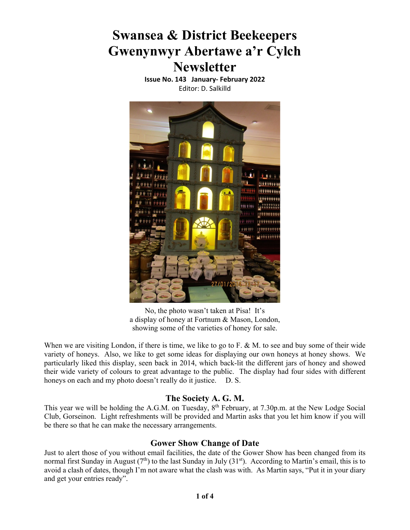# **Swansea & District Beekeepers Gwenynwyr Abertawe a'r Cylch Newsletter**

**Issue No. 143 January‐ February 2022** Editor: D. Salkilld



No, the photo wasn't taken at Pisa! It's a display of honey at Fortnum & Mason, London, showing some of the varieties of honey for sale.

When we are visiting London, if there is time, we like to go to F. & M. to see and buy some of their wide variety of honeys. Also, we like to get some ideas for displaying our own honeys at honey shows. We particularly liked this display, seen back in 2014, which back-lit the different jars of honey and showed their wide variety of colours to great advantage to the public. The display had four sides with different honeys on each and my photo doesn't really do it justice. D. S.

### **The Society A. G. M.**

This year we will be holding the A.G.M. on Tuesday, 8<sup>th</sup> February, at 7.30p.m. at the New Lodge Social Club, Gorseinon. Light refreshments will be provided and Martin asks that you let him know if you will be there so that he can make the necessary arrangements.

#### **Gower Show Change of Date**

Just to alert those of you without email facilities, the date of the Gower Show has been changed from its normal first Sunday in August  $(7<sup>th</sup>)$  to the last Sunday in July  $(31<sup>st</sup>)$ . According to Martin's email, this is to avoid a clash of dates, though I'm not aware what the clash was with. As Martin says, "Put it in your diary and get your entries ready".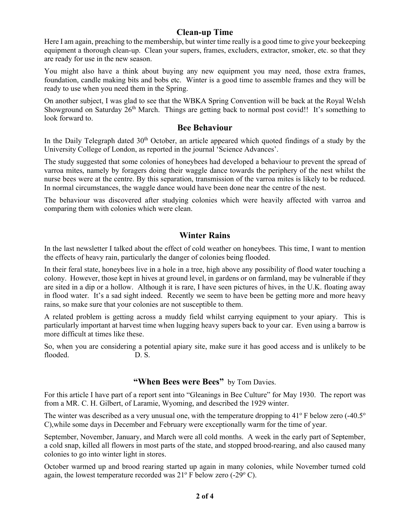#### **Clean-up Time**

Here I am again, preaching to the membership, but winter time really is a good time to give your beekeeping equipment a thorough clean-up. Clean your supers, frames, excluders, extractor, smoker, etc. so that they are ready for use in the new season.

You might also have a think about buying any new equipment you may need, those extra frames, foundation, candle making bits and bobs etc. Winter is a good time to assemble frames and they will be ready to use when you need them in the Spring.

On another subject, I was glad to see that the WBKA Spring Convention will be back at the Royal Welsh Showground on Saturday 26<sup>th</sup> March. Things are getting back to normal post covid!! It's something to look forward to.

## **Bee Behaviour**

In the Daily Telegraph dated  $30<sup>th</sup>$  October, an article appeared which quoted findings of a study by the University College of London, as reported in the journal 'Science Advances'.

The study suggested that some colonies of honeybees had developed a behaviour to prevent the spread of varroa mites, namely by foragers doing their waggle dance towards the periphery of the nest whilst the nurse bees were at the centre. By this separation, transmission of the varroa mites is likely to be reduced. In normal circumstances, the waggle dance would have been done near the centre of the nest.

The behaviour was discovered after studying colonies which were heavily affected with varroa and comparing them with colonies which were clean.

## **Winter Rains**

In the last newsletter I talked about the effect of cold weather on honeybees. This time, I want to mention the effects of heavy rain, particularly the danger of colonies being flooded.

In their feral state, honeybees live in a hole in a tree, high above any possibility of flood water touching a colony. However, those kept in hives at ground level, in gardens or on farmland, may be vulnerable if they are sited in a dip or a hollow. Although it is rare, I have seen pictures of hives, in the U.K. floating away in flood water. It's a sad sight indeed. Recently we seem to have been be getting more and more heavy rains, so make sure that your colonies are not susceptible to them.

A related problem is getting across a muddy field whilst carrying equipment to your apiary. This is particularly important at harvest time when lugging heavy supers back to your car. Even using a barrow is more difficult at times like these.

So, when you are considering a potential apiary site, make sure it has good access and is unlikely to be flooded. D. S.

#### **"When Bees were Bees"** by Tom Davies.

For this article I have part of a report sent into "Gleanings in Bee Culture" for May 1930. The report was from a MR. C. H. Gilbert, of Laramie, Wyoming, and described the 1929 winter.

The winter was described as a very unusual one, with the temperature dropping to 41 $\degree$  F below zero (-40.5 $\degree$ C),while some days in December and February were exceptionally warm for the time of year.

September, November, January, and March were all cold months. A week in the early part of September, a cold snap, killed all flowers in most parts of the state, and stopped brood-rearing, and also caused many colonies to go into winter light in stores.

October warmed up and brood rearing started up again in many colonies, while November turned cold again, the lowest temperature recorded was  $21^{\circ}$  F below zero (-29 $^{\circ}$  C).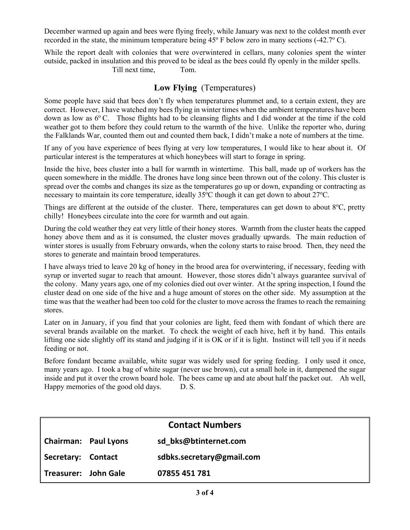December warmed up again and bees were flying freely, while January was next to the coldest month ever recorded in the state, the minimum temperature being  $45^{\circ}$  F below zero in many sections (-42.7° C).

While the report dealt with colonies that were overwintered in cellars, many colonies spent the winter outside, packed in insulation and this proved to be ideal as the bees could fly openly in the milder spells.

Till next time, Tom.

# **Low Flying** (Temperatures)

Some people have said that bees don't fly when temperatures plummet and, to a certain extent, they are correct. However, I have watched my bees flying in winter times when the ambient temperatures have been down as low as  $6^{\circ}$  C. Those flights had to be cleansing flights and I did wonder at the time if the cold weather got to them before they could return to the warmth of the hive. Unlike the reporter who, during the Falklands War, counted them out and counted them back, I didn't make a note of numbers at the time.

If any of you have experience of bees flying at very low temperatures, I would like to hear about it. Of particular interest is the temperatures at which honeybees will start to forage in spring.

Inside the hive, bees cluster into a ball for warmth in wintertime. This ball, made up of workers has the queen somewhere in the middle. The drones have long since been thrown out of the colony. This cluster is spread over the combs and changes its size as the temperatures go up or down, expanding or contracting as necessary to maintain its core temperature, ideally 35°C though it can get down to about 27°C.

Things are different at the outside of the cluster. There, temperatures can get down to about 8°C, pretty chilly! Honeybees circulate into the core for warmth and out again.

During the cold weather they eat very little of their honey stores. Warmth from the cluster heats the capped honey above them and as it is consumed, the cluster moves gradually upwards. The main reduction of winter stores is usually from February onwards, when the colony starts to raise brood. Then, they need the stores to generate and maintain brood temperatures.

I have always tried to leave 20 kg of honey in the brood area for overwintering, if necessary, feeding with syrup or inverted sugar to reach that amount. However, those stores didn't always guarantee survival of the colony. Many years ago, one of my colonies died out over winter. At the spring inspection, I found the cluster dead on one side of the hive and a huge amount of stores on the other side. My assumption at the time was that the weather had been too cold for the cluster to move across the frames to reach the remaining stores.

Later on in January, if you find that your colonies are light, feed them with fondant of which there are several brands available on the market. To check the weight of each hive, heft it by hand. This entails lifting one side slightly off its stand and judging if it is OK or if it is light. Instinct will tell you if it needs feeding or not.

Before fondant became available, white sugar was widely used for spring feeding. I only used it once, many years ago. I took a bag of white sugar (never use brown), cut a small hole in it, dampened the sugar inside and put it over the crown board hole. The bees came up and ate about half the packet out. Ah well, Happy memories of the good old days. D. S.

| <b>Contact Numbers</b>      |  |                           |
|-----------------------------|--|---------------------------|
| <b>Chairman: Paul Lyons</b> |  | sd bks@btinternet.com     |
| Secretary: Contact          |  | sdbks.secretary@gmail.com |
| Treasurer: John Gale        |  | 07855 451 781             |